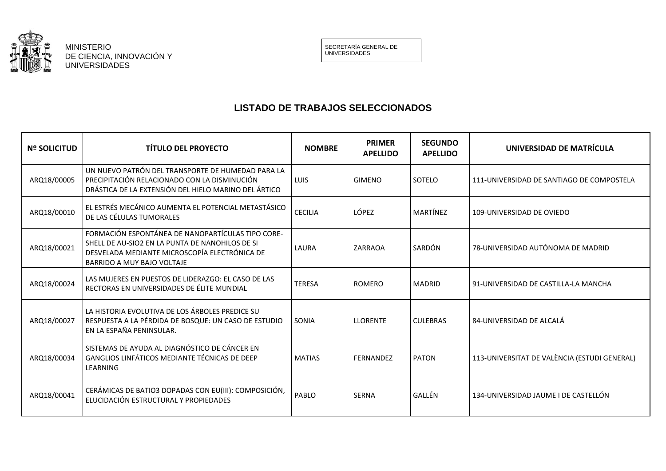

SECRETARÍA GENERAL DE UNIVERSIDADES

## **LISTADO DE TRABAJOS SELECCIONADOS**

| <b>Nº SOLICITUD</b> | <b>TÍTULO DEL PROYECTO</b>                                                                                                                                                                 | <b>NOMBRE</b>  | <b>PRIMER</b><br><b>APELLIDO</b> | <b>SEGUNDO</b><br><b>APELLIDO</b> | UNIVERSIDAD DE MATRÍCULA                     |
|---------------------|--------------------------------------------------------------------------------------------------------------------------------------------------------------------------------------------|----------------|----------------------------------|-----------------------------------|----------------------------------------------|
| ARQ18/00005         | UN NUEVO PATRÓN DEL TRANSPORTE DE HUMEDAD PARA LA<br>PRECIPITACIÓN RELACIONADO CON LA DISMINUCIÓN<br>DRÁSTICA DE LA EXTENSIÓN DEL HIELO MARINO DEL ÁRTICO                                  | <b>LUIS</b>    | <b>GIMENO</b>                    | SOTELO                            | 111-UNIVERSIDAD DE SANTIAGO DE COMPOSTELA    |
| ARQ18/00010         | EL ESTRÉS MECÁNICO AUMENTA EL POTENCIAL METASTÁSICO<br>DE LAS CÉLULAS TUMORALES                                                                                                            | <b>CECILIA</b> | LÓPEZ                            | MARTÍNEZ                          | 109-UNIVERSIDAD DE OVIEDO                    |
| ARQ18/00021         | FORMACIÓN ESPONTÁNEA DE NANOPARTÍCULAS TIPO CORE-<br>SHELL DE AU-SIO2 EN LA PUNTA DE NANOHILOS DE SI<br>DESVELADA MEDIANTE MICROSCOPÍA ELECTRÓNICA DE<br><b>BARRIDO A MUY BAJO VOLTAJE</b> | LAURA          | ZARRAOA                          | SARDÓN                            | 78-UNIVERSIDAD AUTÓNOMA DE MADRID            |
| ARQ18/00024         | LAS MUJERES EN PUESTOS DE LIDERAZGO: EL CASO DE LAS<br>RECTORAS EN UNIVERSIDADES DE ÉLITE MUNDIAL                                                                                          | <b>TERESA</b>  | <b>ROMERO</b>                    | <b>MADRID</b>                     | 91-UNIVERSIDAD DE CASTILLA-LA MANCHA         |
| ARQ18/00027         | LA HISTORIA EVOLUTIVA DE LOS ÁRBOLES PREDICE SU<br>RESPUESTA A LA PÉRDIDA DE BOSQUE: UN CASO DE ESTUDIO<br>EN LA ESPAÑA PENINSULAR.                                                        | SONIA          | <b>LLORENTE</b>                  | <b>CULEBRAS</b>                   | 84-UNIVERSIDAD DE ALCALÁ                     |
| ARQ18/00034         | SISTEMAS DE AYUDA AL DIAGNÓSTICO DE CÁNCER EN<br>GANGLIOS LINFÁTICOS MEDIANTE TÉCNICAS DE DEEP<br><b>LEARNING</b>                                                                          | <b>MATIAS</b>  | <b>FERNANDEZ</b>                 | <b>PATON</b>                      | 113-UNIVERSITAT DE VALÈNCIA (ESTUDI GENERAL) |
| ARQ18/00041         | CERÁMICAS DE BATIO3 DOPADAS CON EU(III): COMPOSICIÓN,<br>ELUCIDACIÓN ESTRUCTURAL Y PROPIEDADES                                                                                             | PABLO          | <b>SERNA</b>                     | GALLÉN                            | 134-UNIVERSIDAD JAUME I DE CASTELLÓN         |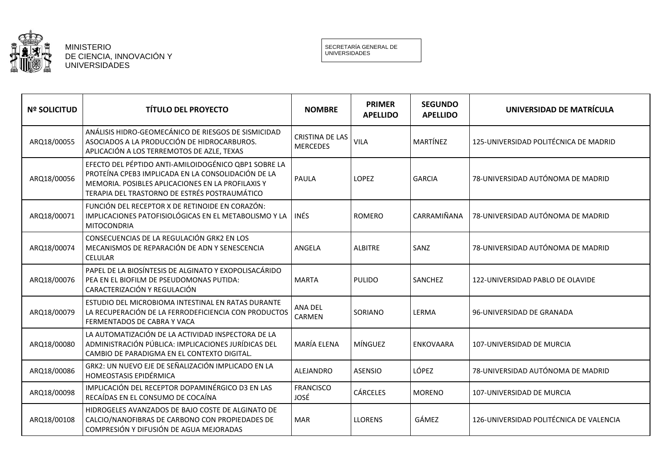

SECRETARÍA GENERAL DE UNIVERSIDADES

| <b>Nº SOLICITUD</b> | <b>TÍTULO DEL PROYECTO</b>                                                                                                                                                                                       | <b>NOMBRE</b>                             | <b>PRIMER</b><br><b>APELLIDO</b> | <b>SEGUNDO</b><br><b>APELLIDO</b> | UNIVERSIDAD DE MATRÍCULA                |
|---------------------|------------------------------------------------------------------------------------------------------------------------------------------------------------------------------------------------------------------|-------------------------------------------|----------------------------------|-----------------------------------|-----------------------------------------|
| ARQ18/00055         | ANÁLISIS HIDRO-GEOMECÁNICO DE RIESGOS DE SISMICIDAD<br>ASOCIADOS A LA PRODUCCIÓN DE HIDROCARBUROS.<br>APLICACIÓN A LOS TERREMOTOS DE AZLE, TEXAS                                                                 | <b>CRISTINA DE LAS</b><br><b>MERCEDES</b> | <b>VILA</b>                      | MARTÍNEZ                          | 125-UNIVERSIDAD POLITÉCNICA DE MADRID   |
| ARQ18/00056         | EFECTO DEL PÉPTIDO ANTI-AMILOIDOGÉNICO QBP1 SOBRE LA<br>PROTEÍNA CPEB3 IMPLICADA EN LA CONSOLIDACIÓN DE LA<br>MEMORIA. POSIBLES APLICACIONES EN LA PROFILAXIS Y<br>TERAPIA DEL TRASTORNO DE ESTRÉS POSTRAUMÁTICO | <b>PAULA</b>                              | <b>LOPEZ</b>                     | <b>GARCIA</b>                     | 78-UNIVERSIDAD AUTÓNOMA DE MADRID       |
| ARQ18/00071         | FUNCIÓN DEL RECEPTOR X DE RETINOIDE EN CORAZÓN:<br>IMPLICACIONES PATOFISIOLÓGICAS EN EL METABOLISMO Y LA<br><b>MITOCONDRIA</b>                                                                                   | INÉS                                      | <b>ROMERO</b>                    | CARRAMIÑANA                       | 78-UNIVERSIDAD AUTÓNOMA DE MADRID       |
| ARQ18/00074         | CONSECUENCIAS DE LA REGULACIÓN GRK2 EN LOS<br>MECANISMOS DE REPARACIÓN DE ADN Y SENESCENCIA<br><b>CELULAR</b>                                                                                                    | ANGELA                                    | <b>ALBITRE</b>                   | SANZ                              | 78-UNIVERSIDAD AUTÓNOMA DE MADRID       |
| ARQ18/00076         | PAPEL DE LA BIOSÍNTESIS DE ALGINATO Y EXOPOLISACÁRIDO<br>PEA EN EL BIOFILM DE PSEUDOMONAS PUTIDA:<br>CARACTERIZACIÓN Y REGULACIÓN                                                                                | <b>MARTA</b>                              | <b>PULIDO</b>                    | SANCHEZ                           | 122-UNIVERSIDAD PABLO DE OLAVIDE        |
| ARQ18/00079         | ESTUDIO DEL MICROBIOMA INTESTINAL EN RATAS DURANTE<br>LA RECUPERACIÓN DE LA FERRODEFICIENCIA CON PRODUCTOS<br>FERMENTADOS DE CABRA Y VACA                                                                        | <b>ANA DEL</b><br>CARMEN                  | SORIANO                          | LERMA                             | 96-UNIVERSIDAD DE GRANADA               |
| ARQ18/00080         | LA AUTOMATIZACIÓN DE LA ACTIVIDAD INSPECTORA DE LA<br>ADMINISTRACIÓN PÚBLICA: IMPLICACIONES JURÍDICAS DEL<br>CAMBIO DE PARADIGMA EN EL CONTEXTO DIGITAL.                                                         | MARÍA ELENA                               | MÍNGUEZ                          | <b>ENKOVAARA</b>                  | 107-UNIVERSIDAD DE MURCIA               |
| ARQ18/00086         | GRK2: UN NUEVO EJE DE SEÑALIZACIÓN IMPLICADO EN LA<br>HOMEOSTASIS EPIDÉRMICA                                                                                                                                     | <b>ALEJANDRO</b>                          | <b>ASENSIO</b>                   | LÓPEZ                             | 78-UNIVERSIDAD AUTÓNOMA DE MADRID       |
| ARQ18/00098         | IMPLICACIÓN DEL RECEPTOR DOPAMINÉRGICO D3 EN LAS<br>RECAÍDAS EN EL CONSUMO DE COCAÍNA                                                                                                                            | <b>FRANCISCO</b><br>JOSÉ                  | <b>CÁRCELES</b>                  | <b>MORENO</b>                     | 107-UNIVERSIDAD DE MURCIA               |
| ARQ18/00108         | HIDROGELES AVANZADOS DE BAJO COSTE DE ALGINATO DE<br>CALCIO/NANOFIBRAS DE CARBONO CON PROPIEDADES DE<br>COMPRESIÓN Y DIFUSIÓN DE AGUA MEJORADAS                                                                  | <b>MAR</b>                                | <b>LLORENS</b>                   | GÁMEZ                             | 126-UNIVERSIDAD POLITÉCNICA DE VALENCIA |